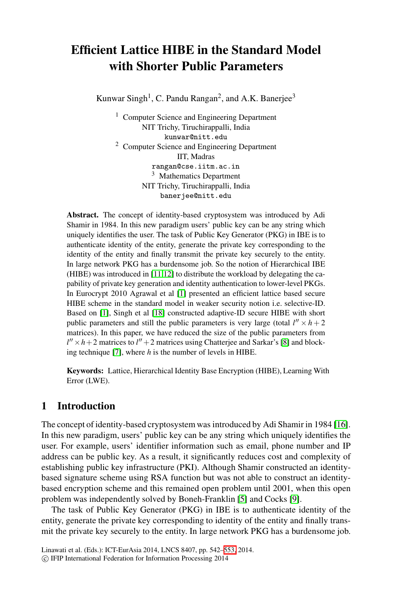# **Efficient Lattice HIBE in the Standard Model with Shorter Public Parameters**

Kunwar Singh<sup>1</sup>, C. Pandu Rangan<sup>2</sup>, and A.K. Banerjee<sup>3</sup>

<sup>1</sup> Computer Science and Engineering Department NIT Trichy, Tiruchirappalli, India kunwar@nitt.edu <sup>2</sup> Computer Science and Engineering Department IIT, Madras rangan@cse.iitm.ac.in <sup>3</sup> Mathematics Department NIT Trichy, Tiruchirappalli, India banerjee@nitt.edu

**Abstract.** T[he](#page-11-0) concept of identity-based cryptosystem was introduced by Adi Shamir in 1984. In this new paradigm users' public key can be any string which uniq[uely](#page-11-1) identifies the user. The task of Public Key Generator (PKG) in IBE is to authenticate identity of the entity, generate the private key corresponding to the identity of the entity and finally transmit the private key securely to the entity. In large network PKG has a burdensome job[.](#page-11-2) [S](#page-11-2)o the notion of Hierarchical IBE (HIBE) was introduced in [11,12] to distribute the workload by delegating the capability of private key generation and identity authentication to lower-level PKGs. In Eurocrypt 2010 Agrawal et al [1] presented an efficient lattice based secure HIBE scheme in the standard model in weaker security notion i.e. selective-ID. Based on [1], Singh et al [18] constructed adaptive-ID secure HIBE with short public parameters and still the public parameters is very large (total  $l'' \times h + 2$ matrices). In this paper, we have reduced the size of the public parameters from  $l'' \times h + 2$  matrices to  $l'' + 2$  matrices using Chatterjee and Sar[kar's](#page-11-3) [8] and blocking technique [7], where *h* is the number of levels in HIBE.

**Keywords:** Lattice, Hierarchical Identity Base Encryption (HIBE), Learning With Error (LWE).

## **1 Introduction**

The concept of identity-based crypt[osy](#page-11-4)stem was in[tro](#page-11-5)duced by Adi Shamir in 1984 [16]. In this new paradigm, users' public key can be any string which uniquely identifies the user. For example, users' identifier information such as email, phone number and IP address can be public key. As a result, it significantly reduces cost and complexity of establishing public key infrastr[uctu](#page-11-6)re (PKI). Although Shamir constructed an identitybased signature scheme using RSA function but was not able to construct an identitybased encryption scheme and this remained open problem until 2001, when this open problem was independently solved by Boneh-Franklin [5] and Cocks [9].

The task of Public Key Generator (PKG) in IBE is to authenticate identity of the entity, generate the private key corresponding to identity of the entity and finally transmit the private key securely to the entity. In large network PKG has a burdensome job.

Linawati et al. (Eds.): ICT-EurAsia 2014, LNCS 8407, pp. 542–553, 2014.

<sup>-</sup>c IFIP International Federation for Information Processing 2014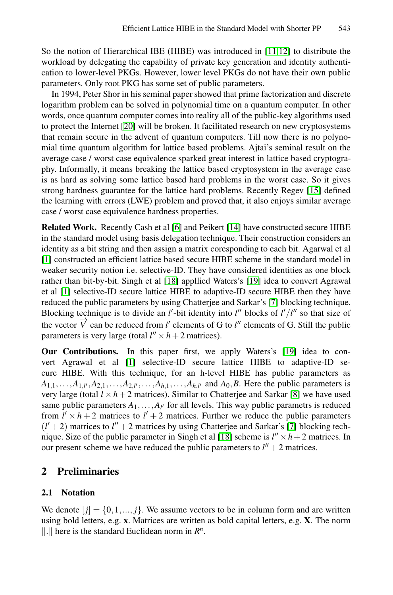So [the](#page-11-7) notion of Hierarchical IBE (HIBE) was introduced in [11,12] to distribute the workload by delegating the capability of private key generation and identity authentication to lower-level PKGs. However, lower level PKGs do not have their own public parameters. Only root PKG has some set of public parameters.

In 1994, Peter Shor in his seminal paper showed that prime factorization and discrete logarithm problem can be solved in polynomial time o[n a](#page-11-8) quantum computer. In other words, once quantum computer comes into reality all of the public-key algorithms used to protect the Internet [20] will be broken. It facilitated research on new cryptosystems that remain secure in the advent of quantum computers. Till now there is no polynomial time quantu[m](#page-11-9) algorithm fo[r la](#page-11-10)ttice based problems. Ajtai's seminal result on the average case / worst case equivalence sparked great interest in lattice based cryptography. Informally, it means breaking the lattice based cryptosystem in the average case is as hard as solving some lattice based hard problems in the worst case. So it gives strong hardness guarantee for the lattice hard problems. Recently Regev [15] defined the learning wi[th e](#page-11-1)rrors (LWE) proble[m a](#page-11-11)nd proved that, it also enjoys similar average case / worst case equivalence hardness properties.

**Related Work.** Recently Cash et al [6] and [Pe](#page-11-12)ikert [14] have constructed secure HIBE in the standard model using basis delegation technique. Their construction considers an identity as a bit string and then assign a matrix coresponding to each bit. Agarwal et al [1] constructed an efficient lattice based secure HIBE scheme in the standard model in weaker security notion i.e. selective-ID. They h[ave](#page-11-11) considered identities as one block rath[er](#page-11-0) than bit-by-bit. Singh et al [18] appllied Waters's [19] idea to convert Agrawal et al [1] selective-ID secure lattice HIBE to adaptive-ID secure HIBE then they have reduced the public parameters by using Chatterjee and Sarkar's [7] blocking technique. Blocking technique is to divide an  $l'$ -bit identity i[nto](#page-11-2)  $l''$  blocks of  $l'/l''$  so that size of the vector  $\overrightarrow{V}$  can be reduced from *l'* elements of G to *l''* elements of G. Still the public parameters is very large (total  $l'' \times h + 2$  matrices).

**Our Contributions.** In thi[s p](#page-11-1)aper first, we [ap](#page-11-12)ply Waters's [19] idea to convert Agrawal et al [1] selective-ID secure lattice HIBE to adaptive-ID secure HIBE. With this technique, for an h-level HIBE has public parameters as  $A_{1,1}, \ldots, A_{1,l'}, A_{2,1}, \ldots, A_{2,l'}, \ldots, A_{h,1}, \ldots, A_{h,l'}$  and  $A_0, B$ . Here the public parameters is very large (total  $l \times h + 2$  matrices). Similar to Chatterjee and Sarkar [8] we have used same public parameters  $A_1, \ldots, A_{l'}$  for all levels. This way public parametrs is reduced from  $l' \times h + 2$  matrices to  $l' + 2$  matrices. Further we reduce the public parameters  $(l' + 2)$  matrices to  $l'' + 2$  matrices by using Chatterjee and Sarkar's [7] blocking technique. Size of the public parameter in Singh et al [18] scheme is  $l'' \times h + 2$  matrices. In our present scheme we have reduced the public parameters to  $l'' + 2$  matrices.

## **2 Preliminaries**

#### **2.1 Notation**

We denote  $[i] = \{0, 1, ..., j\}$ . We assume vectors to be in column form and are written using bold letters, e.g. **x**. Matrices are written as bold capital letters, e.g. **X**. The norm  $\| \cdot \|$  here is the standard Euclidean norm in  $R^n$ .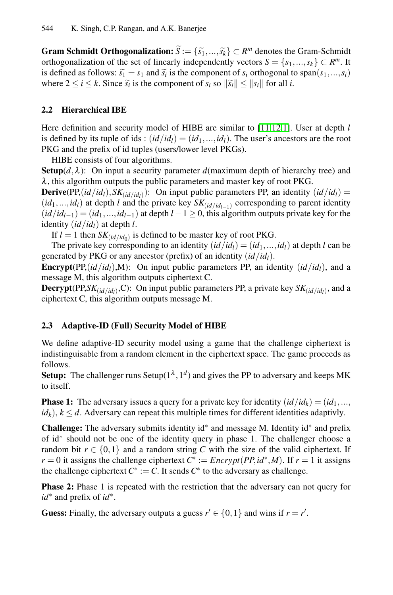**Gram Schmidt Orthogonalization:**  $\widetilde{S} := {\{\widetilde{s_1}, ..., \widetilde{s_k}\}} \subset R^m$  $\widetilde{S} := {\{\widetilde{s_1}, ..., \widetilde{s_k}\}} \subset R^m$  $\widetilde{S} := {\{\widetilde{s_1}, ..., \widetilde{s_k}\}} \subset R^m$  $\widetilde{S} := {\{\widetilde{s_1}, ..., \widetilde{s_k}\}} \subset R^m$  $\widetilde{S} := {\{\widetilde{s_1}, ..., \widetilde{s_k}\}} \subset R^m$  denotes the Gram-Schmidt orthogonalization of the set of linearly independently vectors  $S = \{s_1, ..., s_k\} \subset R^m$ . It **is 44** K. Singh, C.P. Rangan, and A<br> **Gram Schmidt Orthogonalizatio**<br>
orthogonalization of the set of line<br>
is defined as follows:  $\tilde{s}_1 = s_1$  and  $\tilde{s}_i$ is defined as follows:  $\tilde{s}_1 = s_1$  and  $\tilde{s}_i$  is the component of  $s_i$  orthogonal to span( $s_1, ..., s_i$ ) **Gram Schmidt Orthogonalization:**  $\tilde{S} := \{\tilde{s}_1, ..., \tilde{s}_k\}$ <br>orthogonalization of the set of linearly independently<br>is defined as follows:  $\tilde{s}_1 = s_1$  and  $\tilde{s}_i$  is the component<br>where  $2 \le i \le k$ . Since  $\tilde{s}_i$  is the where  $2 \le i \le k$ . Since  $\tilde{s}_i$  is the component of  $s_i$  so  $\|\tilde{s}_i\| \le \|s_i\|$  for all *i*.

## **2.2 Hierarchical IBE**

Here definition and security model of HIBE are similar to [11,12,1]. User at depth *l* is defined by its tuple of ids :  $(id/id_1) = (id_1, ..., id_1)$ . The user's ancestors are the root PKG and the prefix of id tuples (users/lower level PKGs).

HIBE consists of four algorithms.

**Setup** $(d, \lambda)$ : On input a security parameter *d*(maximum depth of hierarchy tree) and  $\lambda$ , this algorithm outputs the public parameters and master key of root PKG.

**Derive**(PP, $(id/id_1)$ ,  $SK_{(id/id_1)}$ ): On input public parameters PP, an identity  $(id/id_1)$  =  $(id_1, ..., id_l)$  at depth *l* and the private key  $SK_{(id/id_{l-1})}$  corresponding to parent identity  $(id/id_{l-1}) = (id_1, ..., id_{l-1})$  at depth  $l-1 \ge 0$ , this algorithm outputs private key for the identity  $(id/id_l)$  at depth *l*.

If  $l = 1$  then  $SK_{(id/id_0)}$  is defined to be master key of root PKG.

The private key corresponding to an identity  $(id/id_1)=(id_1,...,id_l)$  at depth *l* can be generated by PKG or any ancestor (prefix) of an identity (*id/idl*).

**Encrypt**(PP, $(id/id/$ ,M): On input public parameters PP, an identity  $(id/id)$ , and a message M, this algorithm outputs ciphertext C.

**Decrypt**(PP,*SK*<sub>(*id*</sub>/*id*<sub>*i*</sub>),C): On input public parameters PP, a private key *SK*<sub>(*id*/*id*<sub>*i*</sub>)</sub>, and a ciphertext C, this algorithm outputs message M.

#### **2.3 Adaptive-ID (Full) Security Model of HIBE**

We define adaptive-ID security model using a game that the challenge ciphertext is indistinguisable from a random element in the ciphertext space. The game proceeds as follows.

**Setup:** The challenger runs Setup( $1^{\lambda}$ ,  $1^d$ ) and gives the PP to adversary and keeps MK to itself.

**Phase 1:** The adversary issues a query for a private key for identity  $(id/id_k) = (id_1, ...,$  $id_k$ ,  $k \le d$ . Adversary can repeat this multiple times for different identities adaptivly.

**Challenge:** The adversary submits identity id∗ and message M. Identity id∗ and prefix of id∗ should not be one of the identity query in phase 1. The challenger choose a random bit  $r \in \{0,1\}$  and a random string C with the size of the valid ciphertext. If *r* = 0 it assigns the challenge ciphertext  $C^* := \text{Encrypt}(PP, id^*, M)$ . If *r* = 1 it assigns the challenge ciphertext  $C^* := C$ . It sends  $C^*$  to the adversary as challenge.

**Phase 2:** Phase 1 is repeated with the restriction that the adversary can not query for *id*∗ and prefix of *id*∗.

**Guess:** Finally, the adversary outputs a guess  $r' \in \{0, 1\}$  and wins if  $r = r'$ .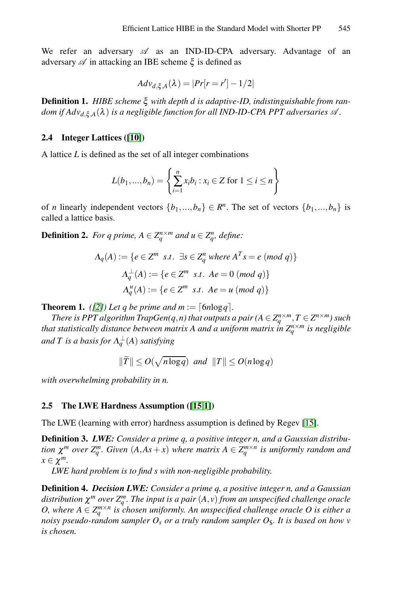We [ref](#page-11-15)er an adversary  $\mathscr A$  as an IND-ID-CPA adversary. Advantage of an adversary  $\mathscr A$  in attacking an IBE scheme  $\xi$  is defined as

$$
Adv_{d,\xi,A}(\lambda) = |Pr[r = r'] - 1/2|
$$

**Definition 1.** *HIBE scheme* ξ *with depth d is adaptive-ID, indistinguishable from ran* $d$ om if  $Adv_{d, \xi, A}(\lambda)$  is a negligible function for all IND-ID-CPA PPT adversaries  $\mathscr{A}.$ 

#### **2.4 Integer Lattices ([10])**

A lattice *L* is defined as the set of all integer combinations

Use the following equations:

\n
$$
L(b_1, \ldots, b_n) = \left\{ \sum_{i=1}^n x_i b_i : x_i \in \mathbb{Z} \text{ for } 1 \leq i \leq n \right\}
$$

of *n* linearly independent vectors  $\{b_1, ..., b_n\} \in \mathbb{R}^n$ . The set of vectors  $\{b_1, ..., b_n\}$  is called a lattice basis.

**Definition 2.** *For q prime,*  $A \in \mathbb{Z}_q^{n \times m}$  *and*  $u \in \mathbb{Z}_q^n$ *, define:* 

$$
\Lambda_q(A) := \{ e \in \mathbb{Z}^m \text{ s.t. } \exists s \in \mathbb{Z}_q^n \text{ where } A^T s = e \text{ (mod } q) \}
$$

$$
\Lambda_q^{\perp}(A) := \{ e \in \mathbb{Z}^m \text{ s.t. } Ae = 0 \text{ (mod } q) \}
$$

$$
\Lambda_q^{\perp}(A) := \{ e \in \mathbb{Z}^m \text{ s.t. } Ae = u \text{ (mod } q) \}
$$

**Theorem 1.** *([2])* Let q be prime and  $m := \lceil 6n \log q \rceil$ .

*There is PPT algorithm TrapGen(q,n) that outputs a pair (* $A \in Z_a^{n \times m}$ *,*  $T \in Z^{n \times m}$ *) such that statistically dista[nce](#page-11-8) [be](#page-11-0)tween matrix A and a uniform matrix in*  $Z_a^{n \times m}$  *is negligible*  $and T$  is a basis for  $\Lambda^{\perp}_q(A)$  satisfying  $T$ <sub>*i*</sub> the nce  $\frac{1}{q}$   $\left(\frac{1}{T}\right)$ 

$$
\|\widetilde{T}\| \le O(\sqrt{n \log q}) \text{ and } \|T\| \le O(n \log q)
$$

*with overwhelming probability in n.*

#### **2.5 The LWE Hardness Assumption ([15,1])**

The LWE (learning with error) hardness assumption is defined by Regev [15].

**Definition 3.** *LWE: Consider a prime q, a positive integer n, and a Gaussian distribution*  $\chi^m$  *over*  $Z_q^m$ *. Given*  $(A, As + x)$  *where matrix*  $A \in Z_q^{m \times n}$  *is uniformly random and*  $x \in \chi^m$ .

*LWE hard problem is to find s with non-negligible probability.*

**Definition 4.** *Decision LWE: Consider a prime q, a positive integer n, and a Gaussian*  $d$ istribution  $\chi^m$  over  $Z_q^m$ . The input is a pair  $(A, v)$  from an unspecified challenge oracle *O, where*  $A \in \mathbb{Z}_q^{m \times n}$  *is chosen uniformly. An unspecified challenge oracle O is either a noisy pseudo-random sampler O<sub>s</sub> or a truly random sampler O<sub>S</sub>. It is based on how v is chosen.*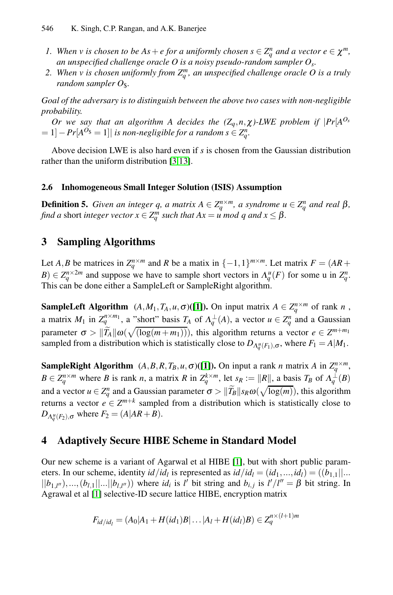- *1.* When *v* is chosen to be  $As + e$  for a uniformly chosen  $s \in \mathbb{Z}_q^n$  and a vector  $e \in \chi^m$ , *an unspecified challenge oracle O is a noisy pseudo-random sampler Os.*
- 2. When v is chosen uniformly from  $Z_q^m$ , an unspecified challenge oracle O is a truly *random sam[pl](#page-11-16)[er](#page-11-17)*  $O_8$  $O_8$ *.*

*Goal of the adversary is to distinguish between the above two cases with non-negligible probability.*

*Or we say that an algorithm A decides the*  $(Z_q, n, \chi)$ *-LWE problem if*  $|Pr[A^{O_s}]$  $= 1$ ]  $- Pr[A<sup>O<sub>§</sub></sup> = 1]$  *is non-negligible for a random s*  $\in Z_q^n$ .

Above decision LWE is also hard even if *s* is chosen from the Gaussian distribution rather than the uniform distribution [3,13].

## **2.6 Inhomogeneous Small Integer Solution (ISIS) Assumption**

**Definition 5.** *Given an integer q, a matrix*  $A \in \mathbb{Z}_q^{n \times m}$ *, a syndrome*  $u \in \mathbb{Z}_q^n$  *and real*  $\beta$ *, find a* short *integer vector*  $x \in \mathbb{Z}_q^m$  *such that*  $Ax = u \mod q$  *and*  $x \leq \beta$ *.* 

## **3 Sampling Algorithms**

Let *A*,*B* be matrices in  $Z_q^{n \times m}$  and *R* be a matix in  $\{-1,1\}^{m \times m}$ . Let matrix  $F = (AR +$  $B$ )  $\in \mathbb{Z}_q^{n \times 2m}$  and suppose we have to sample short vectors in  $\Lambda_q^u(F)$  for some u in  $\mathbb{Z}_q^n$ . This can be done either a [Sa](#page-11-0)mpleLeft or SampleRight algorithm.

**SampleLeft Algorithm**  $(A, M_1, T_A, u, \sigma)$ ([1]). On input matrix  $A \in Z_q^{n \times m}$  of rank *n*, a matrix  $M_1$  in  $Z_q^{n \times m_1}$ , a "short" basis  $T_A$  of  $\Lambda_q^{\perp}(A)$ , a vector  $u \in Z_q^n$  and a Gaussian This can be done ei<br> **SampleLeft Algor**<br>
a matrix  $M_1$  in  $Z_q^n$ <br>
parameter  $\sigma > ||\widetilde{T}_q$  $\widetilde{P}_A || \omega(\sqrt{(\log(m+m_1))})$ , this algorithm returns a vector  $e \in Z^{m+m_1}$ sampled from a distribution which is statistically close to  $D_{\Lambda_q^u(F_1),\sigma}$ , where  $F_1 = A|M_1$ .

**SampleRight Algorithm**  $(A, B, R, T_B, u, \sigma)$  ([1]). On input a rank *n* matrix *A* in  $Z_q^{n \times m}$ ,  $B \in Z_q^{n \times m}$  where *B* is rank *n*, a m[atr](#page-11-0)ix *R* in  $Z_q^{k \times m}$ , let  $s_R := ||R||$ , a basis  $T_B$  of  $\Lambda_q^{\perp}(B)$ and a vector  $u \in Z_q^n$  and a Gaussian parameter  $\sigma > ||\widetilde{T}_B||s_R\omega(\sqrt{\log(m)})$ , this algorithm *g* stribution which is statistically close<br>*q* and *a*, *A*, *R*, *R*, *R*, *A*, *A* (*I*]). On i<br>*B* is rank *n*, a matrix *R* in  $Z_q^{k \times m}$ , let<br> $\frac{n}{q}$  and a Gaussian parameter  $\sigma > ||\widetilde{T}_l$ returns a vector  $e \in \mathbb{Z}^{m+k}$  sampled from a distribution which is statistically close to *D*<sub>Λ<sup>*u*</sup></sup>(*F*<sub>2</sub>),σ</sub> where *F*<sub>2</sub> = (*A*|*AR* + *B*).

## **4 Adaptively Secure HIBE Scheme in Standard Model**

Our new scheme is a variant of Agarwal et al HIBE [1], but with short public parameters. In our scheme, identity  $id/id_l$  is represented as  $id/id_l = (id_1, ..., id_l) = ((b_{1,1}||...$  $||b_{1,l''}\rangle,...,(b_{l,1}||...||b_{l,l''})$  where  $id_i$  is  $l'$  bit string and  $b_{i,j}$  is  $l'/l'' = \beta$  bit string. In Agrawal et al [1] selective-ID secure lattice HIBE, encryption matrix

$$
F_{id/id_l} = (A_0|A_1 + H(id_1)B| \dots |A_l + H(id_l)B) \in Z_q^{n \times (l+1)m}
$$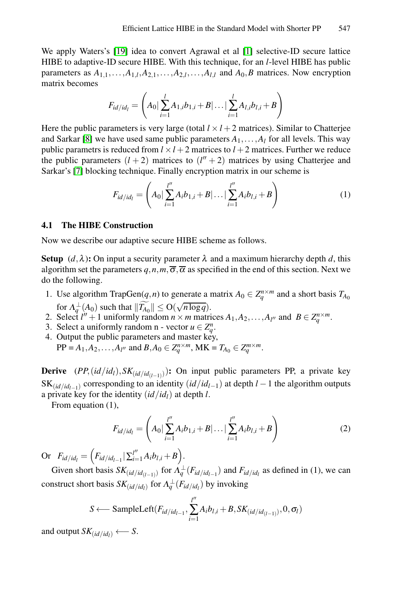We apply Waters's [19] idea to convert Agrawal et al [1] selective-ID secure lattice HIBE to adaptive-ID secure HIBE. With this technique, for an *l*-level HIBE has public parameters as  $A_{1,1}, \ldots, A_{1,l}, A_{2,1}, \ldots, A_{2,l}, \ldots, A_{l,l}$  and  $A_0, B$  matrices. Now encryption matrix becomes

$$
F_{id/id_l} = \left(A_0 | \sum_{i=1}^l A_{1,i} b_{1,i} + B | \ldots | \sum_{i=1}^l A_{l,i} b_{l,i} + B\right)
$$

Here the public parameters is very large (total  $l \times l + 2$  matrices). Similar to Chatterjee and Sarkar [8] we have used same public parameters  $A_1, \ldots, A_l$  for all levels. This way public parametrs is reduced from  $l \times l + 2$  matrices to  $l + 2$  matrices. Further we reduce the public parameters  $(l+2)$  matrices to  $(l''+2)$  matrices by using Chatterjee and Sarkar's [7] blocking technique. Finally encryption matrix in our scheme is

$$
F_{id/id_l} = \left(A_0 | \sum_{i=1}^{l''} A_i b_{1,i} + B | \dots | \sum_{i=1}^{l''} A_i b_{l,i} + B\right)
$$
 (1)

#### **4.1 The HIBE Construction**

Now we describe our adaptive secure HIBE scheme as follows.

**Setup**  $(d, \lambda)$ : On input a security parameter  $\lambda$  and a maximum hierarchy depth *d*, this algorithm set the parameters  $q, n, m, \overline{\sigma}, \overline{\alpha}$  as specified in the end of this section. Next we do the following.

- 1. Use algorithm TrapGen(*q,n*) to generate a matrix  $A_0 \in Z_a^{n \times m}$  and a short basis  $T_{A_0}$ for  $\Lambda_q^{\perp}(A_0)$  such that  $\|\widetilde{T_{A_0}}\| \leq O(\sqrt{n \log q})$ .
- 2. Select  $l'' + 1$  uniformly random  $n \times m$  matrices  $A_1, A_2, \ldots, A_{l''}$  and  $B \in Z_q^{n \times m}$ .
- 3. Select a uniformly random n vector  $u \in Z_q^n$ .
- 4. Output the public parameters and master key,  $PP = A_1, A_2, \dots, A_{l''}$  and  $B, A_0 \in Z_q^{n \times m}$ , MK =  $T_{A_0} \in Z_q^{m \times m}$ .

**Derive**  $(PP, (id/id_l), SK_{(id/id_{(l-1)})})$ : On input public parameters PP, a private key SK $(i d / id_{l-1})$  corresponding to an identity  $(i d / id_{l-1})$  at depth  $l-1$  the algorithm outputs a private key for the identity  $(id/id_l)$  at depth *l*.

From equation (1),

$$
F_{id/id_l} = \left(A_0 | \sum_{i=1}^{l''} A_i b_{1,i} + B | \dots | \sum_{i=1}^{l''} A_i b_{l,i} + B\right)
$$
 (2)

Or  $F_{id/id_l} = \left( F_{id/id_{l-1}} | \sum_{i=1}^{l''} A_i b_{l,i} + B \right)$ .

Given short basis  $SK_{(id/id_{(l-1)})}$  for  $\Lambda_q^{\perp}(F_{id/id_{l-1}})$  and  $F_{id/id_l}$  as defined in (1), we can construct short basis  $SK_{(id/id_l)}$  for  $\Lambda_q^{\perp}(F_{id/id_l})$  by invoking

$$
S \longleftarrow \text{SampleLeft}(F_{id/id_{l-1}}, \sum_{i=1}^{l''} A_i b_{l,i} + B, SK_{(id/id_{(l-1)})}, 0, \sigma_l)
$$

and output  $SK_{(id/id_1)} \longleftarrow S$ .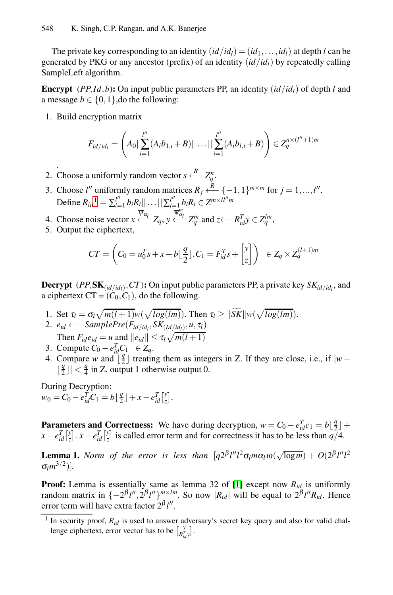The private key corresponding to an identity  $(id/id_1)=(id_1,...,id_l)$  at depth *l* can be generated by PKG or any ancestor (prefix) of an identity  $(id/id_1)$  by repeatedly calling SampleLeft algorithm. Ĩ.

**Encrypt** (*PP,Id,b*): On input public parameters PP, an identity  $(id/id_1)$  of depth *l* and a message  $b \in \{0, 1\}$ , do the following:

1. Build encryption matrix

$$
F_{id/id_l} = \left(A_0 \left| \sum_{i=1}^{l''} (A_i b_{1,i} + B) \right| \right| \dots \left| \left| \sum_{i=1}^{l''} (A_i b_{l,i} + B) \right| \right) \in Z_q^{n \times (l''+1)m}
$$

- . 2. Choose a uniformly random vector  $s \stackrel{R}{\longleftarrow} Z_q^n$ .
- 3. Choose *l''* uniformly random matrices  $R_j \xleftarrow{R} \{-1,1\}^{m \times m}$  for  $j = 1,...,l''$ . Define  $R_{id}^1 = \sum_{i=1}^{l''} b_i R_i || \dots || \sum_{i=1}^{l''} b_i R_i \in Z^{m \times l l'' m}$ brinly random matrices  $R_j \longleftarrow {\{-1,1\}}^{m \wedge n}$
- 4. Choose noise vector  $x \stackrel{\overline{\psi}_{\alpha_l}}{\longleftarrow} Z_q$ ,  $y \stackrel{\overline{\psi}_{\alpha_l}^m}{\longleftarrow} Z_q^m$  and  $z \stackrel{\overline{\psi}_{\alpha_l}^T}{\longleftarrow} Y_q^T$ ,
- 5. Output the ciphertext,

$$
CT = \left(C_0 = u_0^T s + x + b \lfloor \frac{q}{2} \rfloor, C_1 = F_{id}^T s + \begin{bmatrix} y \\ z \end{bmatrix}\right) \in Z_q \times Z_q^{(l+1)m}
$$

**Decrypt** (*PP*, **SK**<sub>(*id*/*id*<sub>*i*</sub>)</sub>, *CT*): On input public parameters PP, a private key  $SK_{id/id_1}$ , and a ciphertext  $CT = (C_0, C_1)$ , do the following. **1.** Set  $\tau_l = \sigma_l \sqrt{m(l+1)}w(\sqrt{\log(lm)})$ . Then  $\tau_l \geq ||\widetilde{SK}||w(\sqrt{\log(lm)})$ .<br>
1. Set  $\tau_l = \sigma_l \sqrt{m(l+1)}w(\sqrt{\log(lm)})$ . Then  $\tau_l \geq ||\widetilde{SK}||w(\sqrt{\log(lm)})$ .

- 
- 2.  $e_{id}$  ← *SamplePre*( $F_{id/id_l}, SK_{(Id/id_l)}, u, \tau_l$ ) Then  $F_{id}e_{id} = u$  and  $||e_{id}|| \le \tau_l \sqrt{m(l+1)}$  $\sqrt{2}$
- 3. Compute  $C_0 e_{id}^T C_1 \in Z_q$ .
- 4. Compare *w* and  $\left[\frac{q}{2}\right]$  treating them as integers in Z. If they are close, i.e., if  $|w z|$  $\lfloor \frac{q}{2} \rfloor \rfloor < \frac{q}{4}$  in Z, output 1 otherwise output 0.

During Decryption:  $w_0 = C_0 - e_{id}^T C_1 = b \lfloor \frac{q}{2} \rfloor + x - e_{id}^T \lfloor \frac{y}{z} \rfloor.$  $w_0 = C_0 - e_{id}^T C_1 = b \lfloor \frac{q}{2} \rfloor + x - e_{id}^T \lfloor \frac{y}{z} \rfloor.$  $w_0 = C_0 - e_{id}^T C_1 = b \lfloor \frac{q}{2} \rfloor + x - e_{id}^T \lfloor \frac{y}{z} \rfloor.$  $\frac{1}{2}$  *id*<br>*ig* therm<br>*id*  $\begin{bmatrix} y \\ z \end{bmatrix}$ *i*  $C_0$ <br>*i* **me**<br>*<i>i <i>y*</del><br>*id z*  $\mathbf{r} = \mathbf{r}$ *i* condensation  $\mathbf{d} \in \mathcal{L}$ <br>*id*  $\begin{bmatrix} y \\ z \end{bmatrix}$ 

**Parameters and Correctness:** We have during decryption,  $w = C_0 - e_{id}^T c_1 = b \left\lfloor \frac{q}{2} \right\rfloor + \frac{q}{2}$  $x - e_{id}^T \begin{bmatrix} y \\ z \end{bmatrix}$ .  $x - e_{id}^T \begin{bmatrix} y \\ z \end{bmatrix}$  is called error term and for correctness it has to be less than  $q/4$ .

**Lemma 1.** *Norm of the error is less than*  $[q2^{\beta}l''l^2\sigma_l m\alpha_l\omega(\sqrt{\log m}) + O(2^{\beta}l''l^2\sigma_l m\alpha_l\omega)$  $\sigma_l m^{3/2}$ ].

**Proof:** Lemma is essentially same as lemma 32 of [1] except now *Rid* is uniformly random matrix in  $\{-2^{\beta}l'', 2^{\beta}l''\}_{\beta}^{m \times lm}$ . So now  $|R_{id}|$  will be equal to  $2^{\beta}l''R_{id}$ . Hence error term will have extra factor 2<sup>β</sup>l''. **coof:** Lemma is essentially same as length dommatrix in  $\{-2^{\beta}l'', 2^{\beta}l''\}^{m \times lm}$ . So cor term will have extra factor  $2^{\beta}l''$ .<br>In security proof,  $R_{id}$  is used to answer advising eighertext, error vector has to be

<sup>&</sup>lt;sup>1</sup> In security proof,  $R_{id}$  is used to answer adversary's secret key query and also for valid chal- $\left[ \begin{matrix} y \\ R_{id}^T y \end{matrix} \right]$ .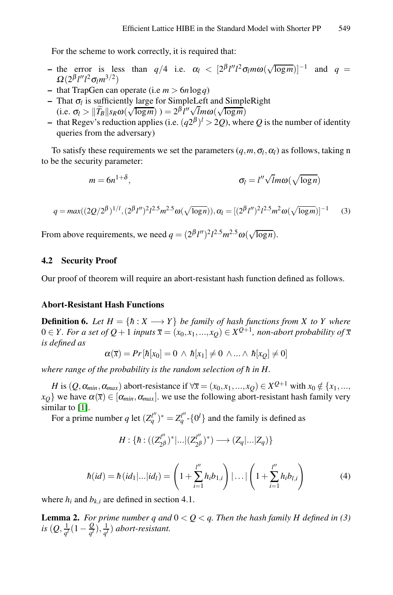For the scheme to work correctly, it is required that:

- the error is less than *q*/4 i.e.  $\alpha_l$  <  $[2^{\beta}l''l^2\sigma_l m\omega(\sqrt{\log m})]^{-1}$  and *q* =  $\Omega(2^{\beta}l''l^2\sigma_l m^{3/2})$ <br>
 that TrapGen can operate (i.e *m* > 6*n* log*q*)<br>
 That  $\sigma_l$  is sufficiently large for SimpleLeft and Sim  $Ω(2<sup>β</sup>l''l<sup>2</sup>σ<sub>l</sub>m<sup>3/2</sup>)$
- **–** that TrapGen can operate (i.e *m >* 6*n*log*q*)
- **–** That <sup>σ</sup>*<sup>l</sup>* is sufficiently large for SimpleLeft and SimpleRight  $\widehat{B}_{B}||s_{R}\omega(\sqrt{\log m}) = 2^{\beta} \frac{l''\sqrt{lm\omega(\sqrt{\log m})}}{l''\sqrt{lm\omega(\sqrt{\log m})}}$
- **–** that Regev's reduction applies (i.e. (*q*2<sup>β</sup> )*<sup>l</sup> >* 2*Q*), where *Q* is the number of identity queries from the adversary)

To satisfy these requirements we set the parameters  $(q, m, \sigma_l, \alpha_l)$  as follows, taking n to be the security parameter:

$$
m = 6n^{1+\delta}, \qquad \sigma_l = l''\sqrt{lm\omega}(\sqrt{\log n})
$$

$$
q = max((2Q/2^{\beta})^{1/l}, (2^{\beta}l'')^{2}l^{2.5}m^{2.5}\omega(\sqrt{\log n})), \alpha_{l} = [(2^{\beta}l'')^{2}l^{2.5}m^{2}\omega(\sqrt{\log m})]^{-1}
$$
(3)

From above requirements, we need  $q = (2^{\beta} l'')^2 l^{2.5} m^{2.5} \omega(\sqrt{\log n})$ .

## **4.2 Security Proof**

Our proof of theorem will require an abort-resistant hash function defined as follows.

## **Abort-Resistant Hash Functions**

**Definition 6.** *Let*  $H = \{h : X \longrightarrow Y\}$  *be family of hash functions from X to Y where* 0 ∈ *Y*. For a set of Q + 1 *inputs*  $\overline{x}$  =  $(x_0, x_1, ..., x_Q)$  ∈  $X^{Q+1}$ *, non-abort probability of*  $\overline{x}$ *is defined as*

$$
\alpha(\overline{x}) = Pr[h[x_0] = 0 \land h[x_1] \neq 0 \land ... \land h[x_Q] \neq 0]
$$

*where range of the probability is the random selection of*  $\hbar$  *in H.* 

*H* is  $(Q, \alpha_{min}, \alpha_{max})$  abort-resistance if  $\forall \overline{x} = (x_0, x_1, ..., x_Q) \in X^{Q+1}$  with  $x_0 \notin \{x_1, ..., x_Q\}$  $x_Q$ } we have  $\alpha(\bar{x}) \in [\alpha_{min}, \alpha_{max}]$ . we use the following abort-resistant hash family very similar to [1].

Find the following equation:

\n
$$
\text{For a prime number } q \text{ let } (Z_q^{l''})^* = Z_q^{l''} \cdot \{0^l\} \text{ and the family is defined as}
$$
\n
$$
H: \{ \hbar : ((Z_{2\beta}^{l''})^* | \dots | (Z_{2\beta}^{l''})^*) \longrightarrow (Z_q | \dots | Z_q) \}
$$
\n
$$
\hbar(id) = \hbar(id_1 | \dots | id_l) = \left( 1 + \sum_{i=1}^{l''} h_i b_{1,i} \right) | \dots | \left( 1 + \sum_{i=1}^{l''} h_i b_{l,i} \right) \tag{4}
$$

where  $h_i$  and  $b_{k,i}$  are defined in section 4.1.

**Lemma 2.** *For prime number q and*  $0 < Q < q$ *. Then the hash family H defined in* (3)  $i$ *s*  $(Q, \frac{1}{q^l}(1-\frac{Q}{q^l}), \frac{1}{q^l})$  *abort-resistant.*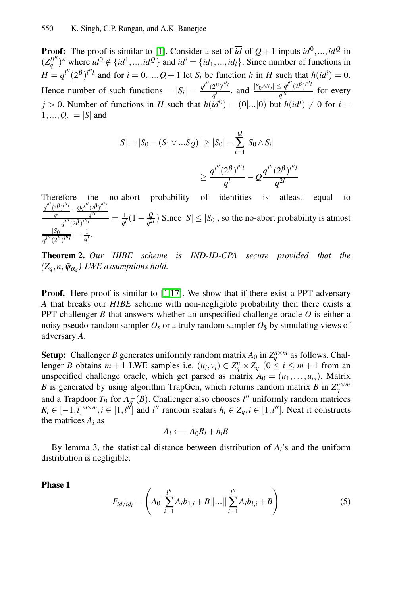**Proof:** The proof is similar to [1]. Consider a set of  $\overline{id}$  of  $Q+1$  inputs  $id^0, ..., id^Q$  in  $(Z_q^{ll'})^*$  where  $id^0 \notin \{id^1, ..., id^Q\}$  and  $id^i = \{id_1, ..., id_l\}$ . Since number of functions in  $H = q^{l''}(2^{\beta})^{l''l}$  and for  $i = 0, ..., Q+1$  let  $S_i$  be function *h* in *H* such that  $h(id^i) = 0$ . Hence number of such functions  $= |S_i| = \frac{q^{l''}(2^{\beta})^{l''l}}{q^l}$ , and  $\frac{|S_0 \wedge S_j| \le q^{l''}(2^{\beta})^{l''l}}{q^{2l}}$  for every  $j > 0$ . Number of functions in *H* such that  $h(id^0) = (0|...|0)$  but  $h(id^i) \neq 0$  for  $i =$  $1, ..., Q$ *.* = |*S*| and

$$
|S| = |S_0 - (S_1 \vee ... S_Q)| \ge |S_0| - \sum_{i=1}^{Q} |S_0 \wedge S_i|
$$
  

$$
\ge \frac{q^{l''}(2^{\beta})^{l''l}}{q^l} - Q \frac{q^{l''}(2^{\beta})^{l''l}}{q^{2l}}
$$

Therefore the no-abort probability of identities is atleast equal to  $\frac{q^{l''}(2^{\beta})^{l''l}}{q^l} - \frac{Qq^{l''}(2^{\beta})^{l''l}}{q^{2l}}$  $\frac{q^{l''}(2^{\beta})^{l''l}}{q^l} - \frac{Qq^{l''}(2^{\beta})^{l''l}}{q^{2l}}$  $\frac{q^{l''}(2^{\beta})^{l''l}}{q^l} - \frac{Qq^{l''}(2^{\beta})^{l''l}}{q^{2l}}$ 

*q*2*[l](#page-11-0)*  $\frac{q^{l'}(2\beta)^{l''l'}}{q^{l'}(2\beta)^{l''l'}} = \frac{1}{q'}(1-\frac{Q}{q^{2l}})$  Since  $|S| \leq |S_0|$ , so the no-abort probability is atmost  $\frac{|S_0|}{q^{l''}(2^{\beta})^{l''l}} = \frac{1}{q^l}.$ 

**Theorem 2.** *Our HIBE scheme is IND-ID-CPA secure provided that the*  $(Z_q, n, \bar{\psi}_{\alpha_d})$ -LWE assumptions hold.

**Proof.** Here proof is similar to [1,17]. We show that if there exist a PPT adversary *A* that breaks our *HIBE* scheme with non-negligible probability then there exists a PPT challenger *B* that answers whether an unspecified challenge oracle *O* is either a noisy pseudo-random sampler  $O_s$  or a truly random sampler  $O_s$  by simulating views of adversary *A*.

**Setup:** Challenger *B* generates uniformly random matrix  $A_0$  in  $Z_q^{n \times m}$  as follows. Challenger *B* obtains  $m + 1$  LWE samples i.e.  $(u_i, v_i) \in Z_q^n \times Z_q$   $(0 \le i \le m + 1$  from an unspecified challenge oracle, which get parsed as matrix  $A_0 = (u_1, \ldots, u_m)$ . Matrix *B* is generated by using algorithm TrapGen, which returns random matrix *B* in  $Z_q^{n \times m}$ and a Trapdoor  $T_B$  for  $\Lambda_q^{\perp}(B)$ . Challenger also chooses *l''* uniformly random matrices  $R_i \in [-1, l]^{m \times m}, i \in [1, l'']$  and *l''* random scalars  $h_i \in Z_q, i \in [1, l'']$ . Next it constructs the matrices  $A_i$  as

$$
A_i \longleftarrow A_0 R_i + h_i B
$$

By lemma 3, the statistical distance between distribution of  $A_i$ 's and the uniform distribution is negligible.

**Phase 1**

$$
F_{id/id_l} = \left(A_0 \left| \sum_{i=1}^{l''} A_i b_{1,i} + B \right| \dots \left| \left| \sum_{i=1}^{l''} A_i b_{l,i} + B \right| \right) \right) \tag{5}
$$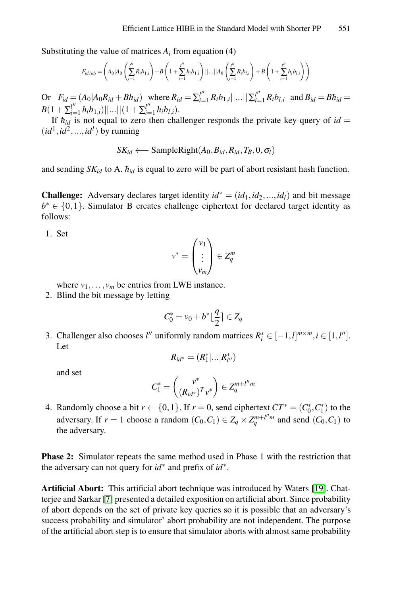Substituting the value of matrices  $A_i$  from equation (4)

$$
F_{id/id_l} = \left(A_0 | A_0 \left(\sum_{i=1}^{l''} R_i b_{1,i}\right) + B \left(1 + \sum_{i=1}^{l''} h_i b_{1,i}\right) ||...|| A_0 \left(\sum_{i=1}^{l''} R_i b_{l,i}\right) + B \left(1 + \sum_{i=1}^{l''} h_i b_{l,i}\right)\right)
$$

Or  $F_{id} = (A_0 | A_0 R_{id} + B h_{id})$  where  $R_{id} = \sum_{i=1}^{l''} R_i b_{1,i} ||...|| \sum_{i=1}^{l''} R_i b_{l,i}$  and  $B_{id} = B h_{id} =$  $B(1+\sum_{i=1}^{l''}h_ib_{1,i})||...||(1+\sum_{i=1}^{l''}h_ib_{l,i}).$ 

If  $h_{id}$  is not equal to zero then challenger responds the private key query of  $id =$  $(id^1, id^2, ..., id^l)$  by running

$$
SK_{id} \longleftarrow \text{SampleRight}(A_0, B_{id}, R_{id}, T_B, 0, \sigma_l)
$$

and sending  $SK_{id}$  to A.  $\hbar_{id}$  is equal to zero will be part of abort resistant hash function.

**Challenge:** Adversary declares target identity  $id^* = (id_1, id_2, ..., id_l)$  and bit message *b*<sup>∗</sup> ∈ {0,1}. Simulator B creates challenge ciphertext for declared target identity as follows:

1. Set

$$
v^* = \begin{pmatrix} v_1 \\ \vdots \\ v_m \end{pmatrix} \in Z_q^m
$$

where  $v_1, \ldots, v_m$  be entries from LWE instance.

2. Blind the bit message by letting

$$
C_0^* = v_0 + b^* \lfloor \frac{q}{2} \rceil \in Z_q
$$

3. Challenger also chooses *l''* uniformly random matrices  $R_i^* \in [-1, l]^{m \times m}, i \in [1, l'']$ . Let

$$
R_{id^*} = (R_1^*|...|R_{l''}^*)
$$

and set

$$
C_1^* = \begin{pmatrix} v^* \\ (R_{id^*})^T v^* \end{pmatrix} \in Z_q^{m+l''m}
$$

4. Randomly choose a bit  $r \leftarrow \{0, 1\}$ . If  $r = 0$ , send ci[pher](#page-11-11)text  $CT^* = (C_0^*, C_1^*)$  to the adversary. If  $r = 1$  choose a random  $(C_0, C_1) \in Z_q \times Z_q^{m+l^m m}$  and send  $(C_0, C_1)$  to the adversary.

**Phase 2:** Simulator repeats the same method used in Phase 1 with the restriction that the adversary can not query for *id*∗ and prefix of *id*∗.

**Artificial Abort:** This artificial abort technique was introduced by Waters [19]. Chatterjee and Sarkar [7] presented a detailed exposition on artificial abort. Since probability of abort depends on the set of private key queries so it is possible that an adversary's success probability and simulator' abort probability are not independent. The purpose of the artificial abort step is to ensure that simulator aborts with almost same probability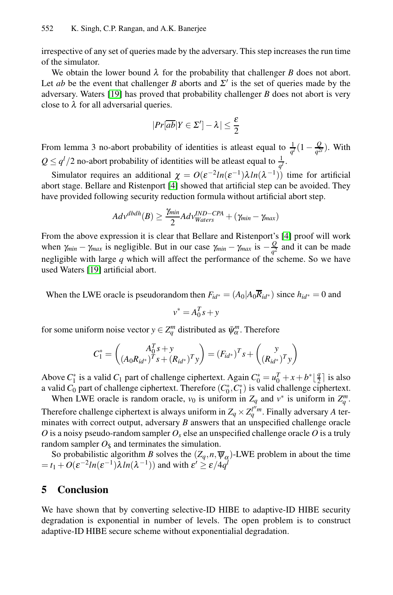irrespective of any set of queries made by the adversary. This step increases the run time of the simulator.

We obtain the lower bound  $\lambda$  for the probability that challenger *B* does not abort. Let *ab* be the event that challenger *B* aborts and  $\Sigma'$  is the set of queries made by the adversary. Waters [19] has proved that probability challenger *B* does not abort is very close to  $\lambda$  for al[l a](#page-11-19)dversarial queries.

$$
|Pr[\overline{ab}|Y \in \Sigma'] - \lambda| \leq \frac{\varepsilon}{2}
$$

From lemma 3 no-abort probability of identities is at equal to  $\frac{1}{q'}(1-\frac{Q}{q^{2l}})$ . With  $Q \le q^l/2$  no-abort probability of identities will [be](#page-11-19) atleast equal to  $\frac{1}{q^l}$ .

Simulator requires an additional  $\chi = O(\varepsilon^{-2}ln(\varepsilon^{-1})\lambda ln(\lambda^{-1}))$  time for artificial abort stage. Bellare and Ristenport [4] showed that artificial step can be avoided. They have provided following security reduction formula without artificial abort step.

$$
Adv^{dbdh}(B) \ge \frac{\gamma_{min}}{2}Adv_{Waters}^{IND-CPA} + (\gamma_{min} - \gamma_{max})
$$

From the above expression it is clear that Bellare and Ristenport's [4] proof will work when  $\gamma_{min} - \gamma_{max}$  is negligible. But in our case  $\gamma_{min} - \gamma_{max}$  is  $-\frac{Q}{q^2}$  and it can be made negligible with large *q* which will affect the performance of the scheme. So we have used Waters [19] artificial abort.

When the LWE oracle is pseudorandom then  $F_{id} = (A_0 | A_0 \overline{R}_{id} )$  since  $h_{id} = 0$  and

$$
v^* = A_0^T s + y
$$

for some uniform noise vector  $y \in Z_q^m$  distributed as  $\bar{\psi}_\alpha^m$ . Therefore

$$
C_1^* = \begin{pmatrix} A_0^T s + y \\ (A_0 R_{id^*})^T s + (R_{id^*})^T y \end{pmatrix} = (F_{id^*})^T s + \begin{pmatrix} y \\ (R_{id^*})^T y \end{pmatrix}
$$

Above  $C_1^*$  is a valid  $C_1$  part of challenge ciphertext. Again  $C_0^* = u_0^T + x + b^* \lfloor \frac{q}{2} \rfloor$  is also a valid  $C_0$  part of challenge ciphertext. Therefore  $(C_0^*, C_1^*)$  is valid challenge ciphertext.

When LWE oracle is random oracle,  $v_0$  is uniform in  $Z_q$  and  $v^*$  is uniform in  $Z_q^m$ . Therefore challenge ciphertext is always uniform in  $Z_q \times Z_q^{l''m}$ . Finally adversary *A* terminates with correct output, adversary *B* answers that an unspecified challenge oracle  $O$  is a noisy pseudo-random sampler  $O_s$  else an unspecified challenge oracle  $O$  is a truly random sampler  $O_{\rm s}$  and terminates the simulation.

So probabilistic algorithm *B* solves the  $(Z_q, n, \overline{\psi}_\alpha)$ -LWE problem in about the time  $=$  *t*<sub>1</sub> +  $O(\varepsilon^{-2}ln(\varepsilon^{-1})\lambda ln(\lambda^{-1}))$  and with  $\varepsilon' \ge \varepsilon/4q^l$ 

## **5 Conclusion**

We have shown that by converting selective-ID HIBE to adaptive-ID HIBE security degradation is exponential in number of levels. The open problem is to construct adaptive-ID HIBE secure scheme without exponentialial degradation.